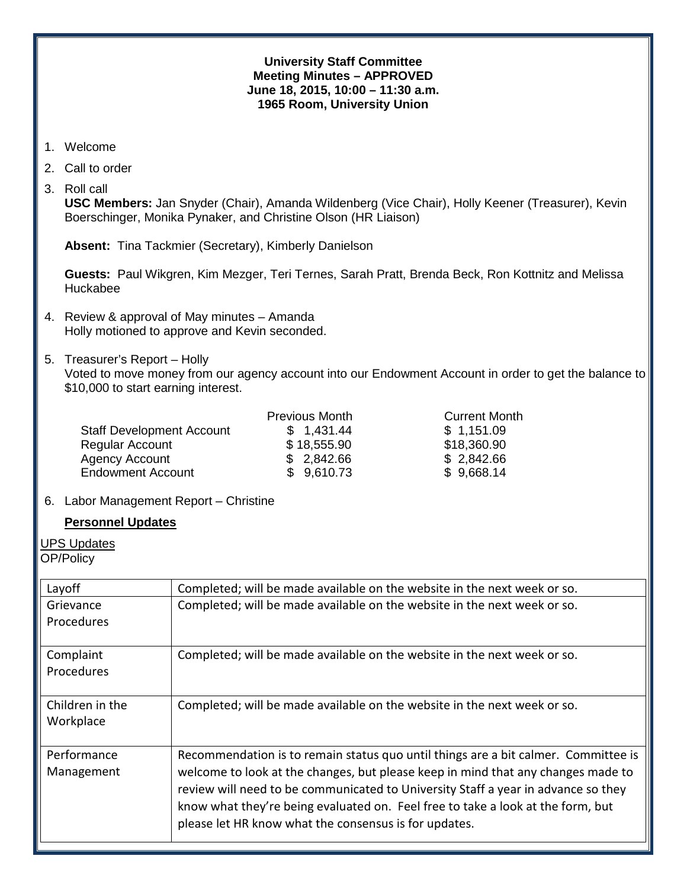#### **University Staff Committee Meeting Minutes – APPROVED June 18, 2015, 10:00 – 11:30 a.m. 1965 Room, University Union**

- 1. Welcome
- 2. Call to order
- 3. Roll call

**USC Members:** Jan Snyder (Chair), Amanda Wildenberg (Vice Chair), Holly Keener (Treasurer), Kevin Boerschinger, Monika Pynaker, and Christine Olson (HR Liaison)

**Absent:** Tina Tackmier (Secretary), Kimberly Danielson

**Guests:** Paul Wikgren, Kim Mezger, Teri Ternes, Sarah Pratt, Brenda Beck, Ron Kottnitz and Melissa Huckabee

- 4. Review & approval of May minutes Amanda Holly motioned to approve and Kevin seconded.
- 5. Treasurer's Report Holly

Voted to move money from our agency account into our Endowment Account in order to get the balance to \$10,000 to start earning interest.

| <b>Previous Month</b> | <b>Current Month</b> |
|-----------------------|----------------------|
| \$1,431.44            | \$1,151.09           |
| \$18,555.90           | \$18,360.90          |
| \$2,842.66            | \$2,842.66           |
| \$9,610.73            | \$9,668.14           |
|                       |                      |

### 6. Labor Management Report – Christine

### **Personnel Updates**

UPS Updates

OP/Policy

| Layoff                         | Completed; will be made available on the website in the next week or so.                                                                                                                                                                                                                                                                                                                                |
|--------------------------------|---------------------------------------------------------------------------------------------------------------------------------------------------------------------------------------------------------------------------------------------------------------------------------------------------------------------------------------------------------------------------------------------------------|
| Grievance<br>Procedures        | Completed; will be made available on the website in the next week or so.                                                                                                                                                                                                                                                                                                                                |
| Complaint<br><b>Procedures</b> | Completed; will be made available on the website in the next week or so.                                                                                                                                                                                                                                                                                                                                |
| Children in the<br>Workplace   | Completed; will be made available on the website in the next week or so.                                                                                                                                                                                                                                                                                                                                |
| Performance<br>Management      | Recommendation is to remain status quo until things are a bit calmer. Committee is<br>welcome to look at the changes, but please keep in mind that any changes made to<br>review will need to be communicated to University Staff a year in advance so they<br>know what they're being evaluated on. Feel free to take a look at the form, but<br>please let HR know what the consensus is for updates. |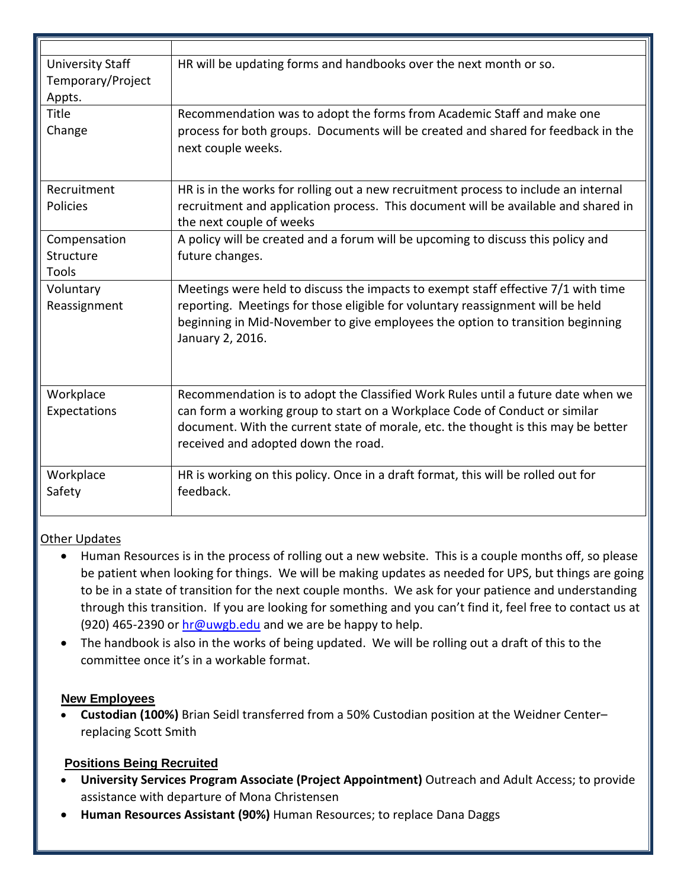| <b>University Staff</b><br>Temporary/Project<br>Appts. | HR will be updating forms and handbooks over the next month or so.                                                                                                                                                                                                                           |
|--------------------------------------------------------|----------------------------------------------------------------------------------------------------------------------------------------------------------------------------------------------------------------------------------------------------------------------------------------------|
| Title                                                  | Recommendation was to adopt the forms from Academic Staff and make one                                                                                                                                                                                                                       |
| Change                                                 | process for both groups. Documents will be created and shared for feedback in the<br>next couple weeks.                                                                                                                                                                                      |
| Recruitment<br><b>Policies</b>                         | HR is in the works for rolling out a new recruitment process to include an internal<br>recruitment and application process. This document will be available and shared in<br>the next couple of weeks                                                                                        |
| Compensation<br>Structure<br>Tools                     | A policy will be created and a forum will be upcoming to discuss this policy and<br>future changes.                                                                                                                                                                                          |
| Voluntary<br>Reassignment                              | Meetings were held to discuss the impacts to exempt staff effective 7/1 with time<br>reporting. Meetings for those eligible for voluntary reassignment will be held<br>beginning in Mid-November to give employees the option to transition beginning<br>January 2, 2016.                    |
| Workplace<br>Expectations                              | Recommendation is to adopt the Classified Work Rules until a future date when we<br>can form a working group to start on a Workplace Code of Conduct or similar<br>document. With the current state of morale, etc. the thought is this may be better<br>received and adopted down the road. |
| Workplace<br>Safety                                    | HR is working on this policy. Once in a draft format, this will be rolled out for<br>feedback.                                                                                                                                                                                               |

# Other Updates

- Human Resources is in the process of rolling out a new website. This is a couple months off, so please be patient when looking for things. We will be making updates as needed for UPS, but things are going to be in a state of transition for the next couple months. We ask for your patience and understanding through this transition. If you are looking for something and you can't find it, feel free to contact us at (920) 465-2390 or  $hr@uwgb.edu$  and we are be happy to help.
- The handbook is also in the works of being updated. We will be rolling out a draft of this to the committee once it's in a workable format.

## **New Employees**

• **Custodian (100%)** Brian Seidl transferred from a 50% Custodian position at the Weidner Center– replacing Scott Smith

# **Positions Being Recruited**

- **University Services Program Associate (Project Appointment)** Outreach and Adult Access; to provide assistance with departure of Mona Christensen
- **Human Resources Assistant (90%)** Human Resources; to replace Dana Daggs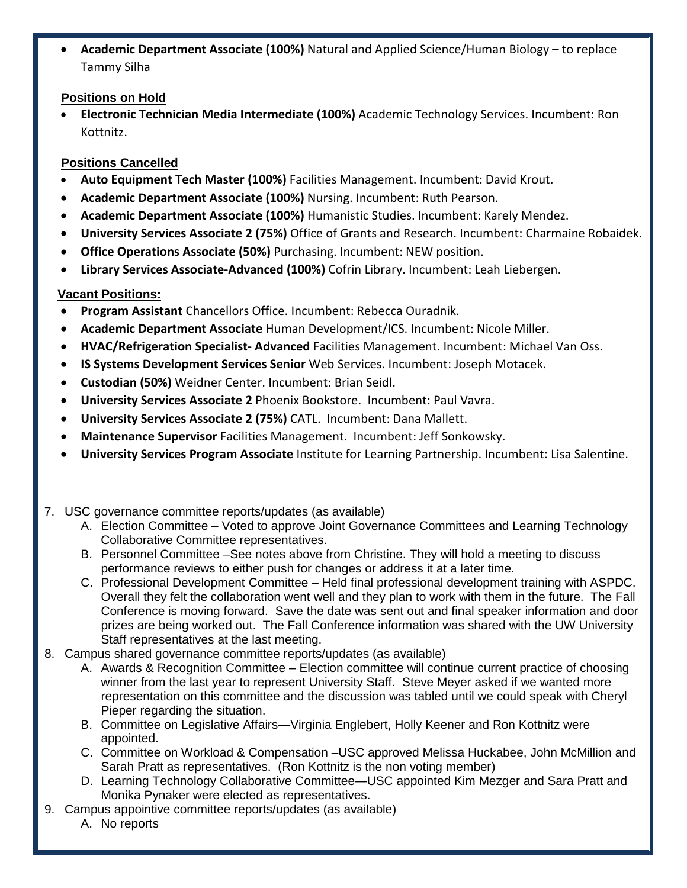• **Academic Department Associate (100%)** Natural and Applied Science/Human Biology – to replace Tammy Silha

## **Positions on Hold**

• **Electronic Technician Media Intermediate (100%)** Academic Technology Services. Incumbent: Ron Kottnitz.

# **Positions Cancelled**

- **Auto Equipment Tech Master (100%)** Facilities Management. Incumbent: David Krout.
- **Academic Department Associate (100%)** Nursing. Incumbent: Ruth Pearson.
- **Academic Department Associate (100%)** Humanistic Studies. Incumbent: Karely Mendez.
- **University Services Associate 2 (75%)** Office of Grants and Research. Incumbent: Charmaine Robaidek.
- **Office Operations Associate (50%)** Purchasing. Incumbent: NEW position.
- **Library Services Associate-Advanced (100%)** Cofrin Library. Incumbent: Leah Liebergen.

# **Vacant Positions:**

- **Program Assistant** Chancellors Office. Incumbent: Rebecca Ouradnik.
- **Academic Department Associate** Human Development/ICS. Incumbent: Nicole Miller.
- **HVAC/Refrigeration Specialist- Advanced** Facilities Management. Incumbent: Michael Van Oss.
- **IS Systems Development Services Senior** Web Services. Incumbent: Joseph Motacek.
- **Custodian (50%)** Weidner Center. Incumbent: Brian Seidl.
- **University Services Associate 2** Phoenix Bookstore. Incumbent: Paul Vavra.
- **University Services Associate 2 (75%)** CATL. Incumbent: Dana Mallett.
- **Maintenance Supervisor** Facilities Management. Incumbent: Jeff Sonkowsky.
- **University Services Program Associate** Institute for Learning Partnership. Incumbent: Lisa Salentine.
- 7. USC governance committee reports/updates (as available)
	- A. Election Committee Voted to approve Joint Governance Committees and Learning Technology Collaborative Committee representatives.
	- B. Personnel Committee –See notes above from Christine. They will hold a meeting to discuss performance reviews to either push for changes or address it at a later time.
	- C. Professional Development Committee Held final professional development training with ASPDC. Overall they felt the collaboration went well and they plan to work with them in the future. The Fall Conference is moving forward. Save the date was sent out and final speaker information and door prizes are being worked out. The Fall Conference information was shared with the UW University Staff representatives at the last meeting.
- 8. Campus shared governance committee reports/updates (as available)
	- A. Awards & Recognition Committee Election committee will continue current practice of choosing winner from the last year to represent University Staff. Steve Meyer asked if we wanted more representation on this committee and the discussion was tabled until we could speak with Cheryl Pieper regarding the situation.
	- B. Committee on Legislative Affairs—Virginia Englebert, Holly Keener and Ron Kottnitz were appointed.
	- C. Committee on Workload & Compensation –USC approved Melissa Huckabee, John McMillion and Sarah Pratt as representatives. (Ron Kottnitz is the non voting member)
	- D. Learning Technology Collaborative Committee—USC appointed Kim Mezger and Sara Pratt and Monika Pynaker were elected as representatives.
- 9. Campus appointive committee reports/updates (as available)
	- A. No reports